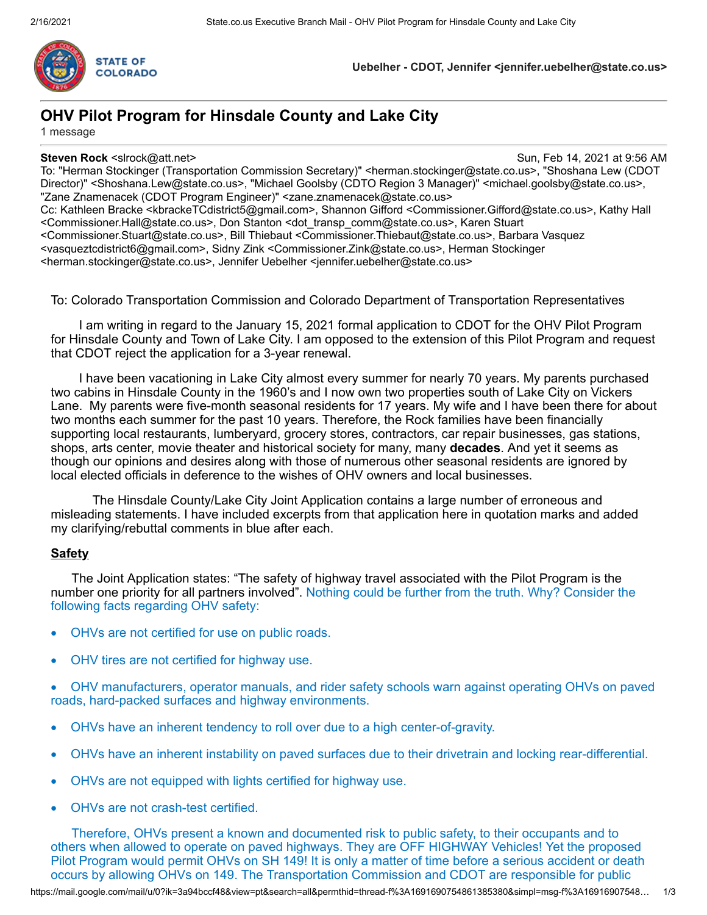

**Uebelher - CDOT, Jennifer <jennifer.uebelher@state.co.us>**

# **OHV Pilot Program for Hinsdale County and Lake City**

1 message

**Steven Rock** <slrock@att.net> Sun, Feb 14, 2021 at 9:56 AM

To: "Herman Stockinger (Transportation Commission Secretary)" <herman.stockinger@state.co.us>, "Shoshana Lew (CDOT Director)" <Shoshana.Lew@state.co.us>, "Michael Goolsby (CDTO Region 3 Manager)" <michael.goolsby@state.co.us>, "Zane Znamenacek (CDOT Program Engineer)" <zane.znamenacek@state.co.us> Cc: Kathleen Bracke <kbrackeTCdistrict5@gmail.com>, Shannon Gifford <Commissioner.Gifford@state.co.us>, Kathy Hall <Commissioner.Hall@state.co.us>, Don Stanton <dot\_transp\_comm@state.co.us>, Karen Stuart <Commissioner.Stuart@state.co.us>, Bill Thiebaut <Commissioner.Thiebaut@state.co.us>, Barbara Vasquez <vasqueztcdistrict6@gmail.com>, Sidny Zink <Commissioner.Zink@state.co.us>, Herman Stockinger <herman.stockinger@state.co.us>, Jennifer Uebelher <jennifer.uebelher@state.co.us>

To: Colorado Transportation Commission and Colorado Department of Transportation Representatives

I am writing in regard to the January 15, 2021 formal application to CDOT for the OHV Pilot Program for Hinsdale County and Town of Lake City. I am opposed to the extension of this Pilot Program and request that CDOT reject the application for a 3-year renewal.

I have been vacationing in Lake City almost every summer for nearly 70 years. My parents purchased two cabins in Hinsdale County in the 1960's and I now own two properties south of Lake City on Vickers Lane. My parents were five-month seasonal residents for 17 years. My wife and I have been there for about two months each summer for the past 10 years. Therefore, the Rock families have been financially supporting local restaurants, lumberyard, grocery stores, contractors, car repair businesses, gas stations, shops, arts center, movie theater and historical society for many, many **decades**. And yet it seems as though our opinions and desires along with those of numerous other seasonal residents are ignored by local elected officials in deference to the wishes of OHV owners and local businesses.

The Hinsdale County/Lake City Joint Application contains a large number of erroneous and misleading statements. I have included excerpts from that application here in quotation marks and added my clarifying/rebuttal comments in blue after each.

## **Safety**

The Joint Application states: "The safety of highway travel associated with the Pilot Program is the number one priority for all partners involved". Nothing could be further from the truth. Why? Consider the following facts regarding OHV safety:

- OHVs are not certified for use on public roads.
- OHV tires are not certified for highway use.
- OHV manufacturers, operator manuals, and rider safety schools warn against operating OHVs on paved roads, hard-packed surfaces and highway environments.
- · OHVs have an inherent tendency to roll over due to a high center-of-gravity.
- · OHVs have an inherent instability on paved surfaces due to their drivetrain and locking rear-differential.
- · OHVs are not equipped with lights certified for highway use.
- OHVs are not crash-test certified.

Therefore, OHVs present a known and documented risk to public safety, to their occupants and to others when allowed to operate on paved highways. They are OFF HIGHWAY Vehicles! Yet the proposed Pilot Program would permit OHVs on SH 149! It is only a matter of time before a serious accident or death occurs by allowing OHVs on 149. The Transportation Commission and CDOT are responsible for public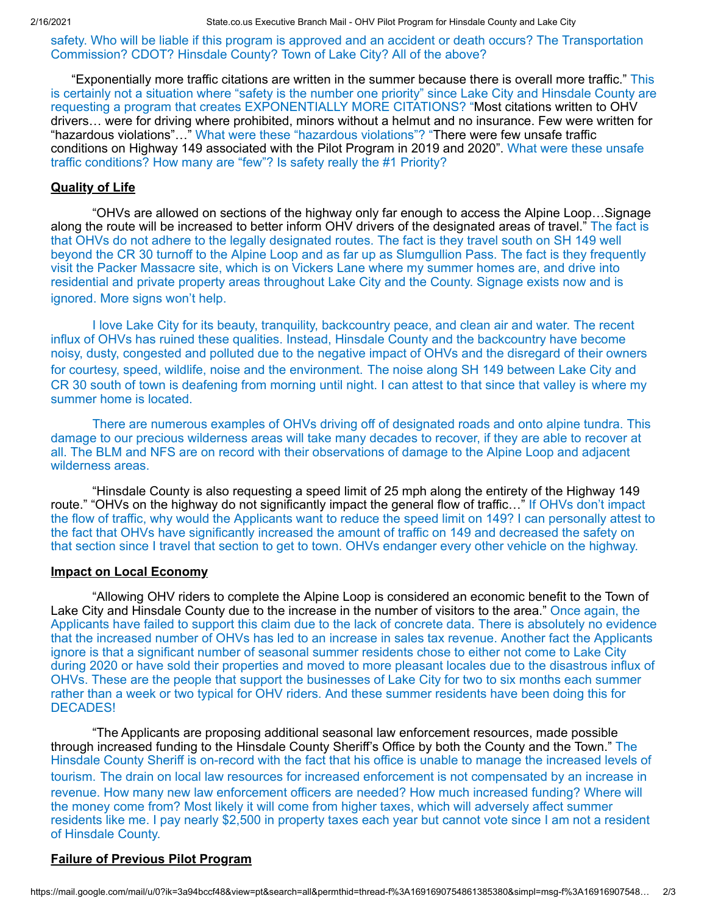safety. Who will be liable if this program is approved and an accident or death occurs? The Transportation Commission? CDOT? Hinsdale County? Town of Lake City? All of the above?

"Exponentially more traffic citations are written in the summer because there is overall more traffic." This is certainly not a situation where "safety is the number one priority" since Lake City and Hinsdale County are requesting a program that creates EXPONENTIALLY MORE CITATIONS? "Most citations written to OHV drivers… were for driving where prohibited, minors without a helmut and no insurance. Few were written for "hazardous violations"…" What were these "hazardous violations"? "There were few unsafe traffic conditions on Highway 149 associated with the Pilot Program in 2019 and 2020". What were these unsafe traffic conditions? How many are "few"? Is safety really the #1 Priority?

#### **Quality of Life**

"OHVs are allowed on sections of the highway only far enough to access the Alpine Loop…Signage along the route will be increased to better inform OHV drivers of the designated areas of travel." The fact is that OHVs do not adhere to the legally designated routes. The fact is they travel south on SH 149 well beyond the CR 30 turnoff to the Alpine Loop and as far up as Slumgullion Pass. The fact is they frequently visit the Packer Massacre site, which is on Vickers Lane where my summer homes are, and drive into residential and private property areas throughout Lake City and the County. Signage exists now and is ignored. More signs won't help.

I love Lake City for its beauty, tranquility, backcountry peace, and clean air and water. The recent influx of OHVs has ruined these qualities. Instead, Hinsdale County and the backcountry have become noisy, dusty, congested and polluted due to the negative impact of OHVs and the disregard of their owners for courtesy, speed, wildlife, noise and the environment. The noise along SH 149 between Lake City and CR 30 south of town is deafening from morning until night. I can attest to that since that valley is where my summer home is located.

There are numerous examples of OHVs driving off of designated roads and onto alpine tundra. This damage to our precious wilderness areas will take many decades to recover, if they are able to recover at all. The BLM and NFS are on record with their observations of damage to the Alpine Loop and adjacent wilderness areas.

"Hinsdale County is also requesting a speed limit of 25 mph along the entirety of the Highway 149 route." "OHVs on the highway do not significantly impact the general flow of traffic…" If OHVs don't impact the flow of traffic, why would the Applicants want to reduce the speed limit on 149? I can personally attest to the fact that OHVs have significantly increased the amount of traffic on 149 and decreased the safety on that section since I travel that section to get to town. OHVs endanger every other vehicle on the highway.

#### **Impact on Local Economy**

"Allowing OHV riders to complete the Alpine Loop is considered an economic benefit to the Town of Lake City and Hinsdale County due to the increase in the number of visitors to the area." Once again, the Applicants have failed to support this claim due to the lack of concrete data. There is absolutely no evidence that the increased number of OHVs has led to an increase in sales tax revenue. Another fact the Applicants ignore is that a significant number of seasonal summer residents chose to either not come to Lake City during 2020 or have sold their properties and moved to more pleasant locales due to the disastrous influx of OHVs. These are the people that support the businesses of Lake City for two to six months each summer rather than a week or two typical for OHV riders. And these summer residents have been doing this for DECADES!

"The Applicants are proposing additional seasonal law enforcement resources, made possible through increased funding to the Hinsdale County Sheriff's Office by both the County and the Town." The Hinsdale County Sheriff is on-record with the fact that his office is unable to manage the increased levels of tourism. The drain on local law resources for increased enforcement is not compensated by an increase in revenue. How many new law enforcement officers are needed? How much increased funding? Where will the money come from? Most likely it will come from higher taxes, which will adversely affect summer residents like me. I pay nearly \$2,500 in property taxes each year but cannot vote since I am not a resident of Hinsdale County.

### **Failure of Previous Pilot Program**